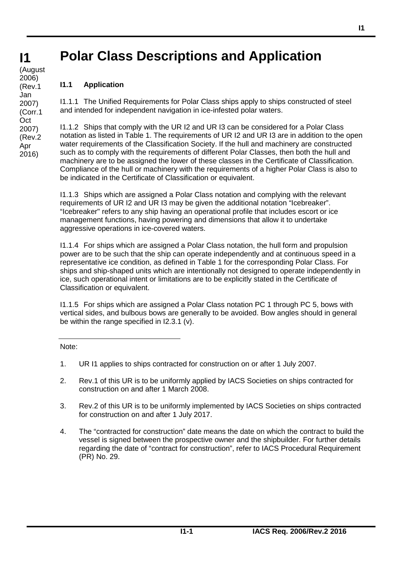## **Polar Class Descriptions and Application**

**I1 I1** (August 2006) (Rev.1 Jan 2007) (Corr.1 **Oct** 2007) (Rev.2 Apr 2016)

# **I1.1 Application**

I1.1.1 The Unified Requirements for Polar Class ships apply to ships constructed of steel and intended for independent navigation in ice-infested polar waters.

I1.1.2 Ships that comply with the UR I2 and UR I3 can be considered for a Polar Class notation as listed in Table 1. The requirements of UR I2 and UR I3 are in addition to the open water requirements of the Classification Society. If the hull and machinery are constructed such as to comply with the requirements of different Polar Classes, then both the hull and machinery are to be assigned the lower of these classes in the Certificate of Classification. Compliance of the hull or machinery with the requirements of a higher Polar Class is also to be indicated in the Certificate of Classification or equivalent.

I1.1.3 Ships which are assigned a Polar Class notation and complying with the relevant requirements of UR I2 and UR I3 may be given the additional notation "Icebreaker". "Icebreaker" refers to any ship having an operational profile that includes escort or ice management functions, having powering and dimensions that allow it to undertake aggressive operations in ice-covered waters.

I1.1.4 For ships which are assigned a Polar Class notation, the hull form and propulsion power are to be such that the ship can operate independently and at continuous speed in a representative ice condition, as defined in Table 1 for the corresponding Polar Class. For ships and ship-shaped units which are intentionally not designed to operate independently in ice, such operational intent or limitations are to be explicitly stated in the Certificate of Classification or equivalent.

I1.1.5 For ships which are assigned a Polar Class notation PC 1 through PC 5, bows with vertical sides, and bulbous bows are generally to be avoided. Bow angles should in general be within the range specified in I2.3.1 (v).

Note:

- 1. UR I1 applies to ships contracted for construction on or after 1 July 2007.
- 2. Rev.1 of this UR is to be uniformly applied by IACS Societies on ships contracted for construction on and after 1 March 2008.
- 3. Rev.2 of this UR is to be uniformly implemented by IACS Societies on ships contracted for construction on and after 1 July 2017.
- 4. The "contracted for construction" date means the date on which the contract to build the vessel is signed between the prospective owner and the shipbuilder. For further details regarding the date of "contract for construction", refer to IACS Procedural Requirement (PR) No. 29.